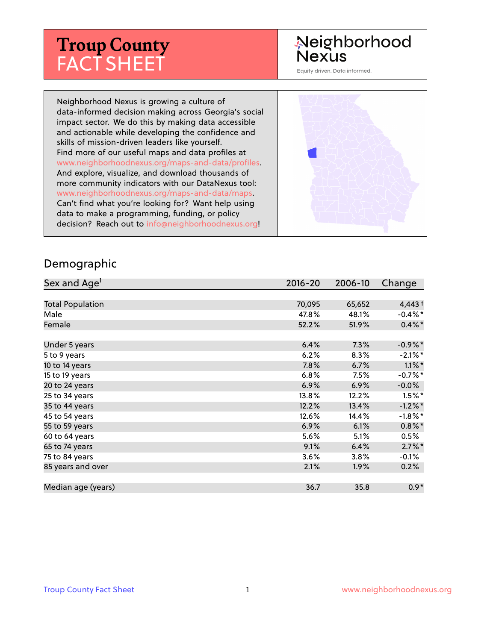# **Troup County** FACT SHEET

## Neighborhood **Nexus**

Equity driven. Data informed.

Neighborhood Nexus is growing a culture of data-informed decision making across Georgia's social impact sector. We do this by making data accessible and actionable while developing the confidence and skills of mission-driven leaders like yourself. Find more of our useful maps and data profiles at www.neighborhoodnexus.org/maps-and-data/profiles. And explore, visualize, and download thousands of more community indicators with our DataNexus tool: www.neighborhoodnexus.org/maps-and-data/maps. Can't find what you're looking for? Want help using data to make a programming, funding, or policy decision? Reach out to [info@neighborhoodnexus.org!](mailto:info@neighborhoodnexus.org)



#### Demographic

| Sex and Age <sup>1</sup> | $2016 - 20$ | 2006-10 | Change     |
|--------------------------|-------------|---------|------------|
|                          |             |         |            |
| <b>Total Population</b>  | 70,095      | 65,652  | $4,443+$   |
| Male                     | 47.8%       | 48.1%   | $-0.4\%$ * |
| Female                   | 52.2%       | 51.9%   | $0.4\%$ *  |
|                          |             |         |            |
| Under 5 years            | 6.4%        | 7.3%    | $-0.9\%$ * |
| 5 to 9 years             | 6.2%        | $8.3\%$ | $-2.1\%$ * |
| 10 to 14 years           | 7.8%        | 6.7%    | $1.1\%$ *  |
| 15 to 19 years           | 6.8%        | 7.5%    | $-0.7%$ *  |
| 20 to 24 years           | 6.9%        | 6.9%    | $-0.0%$    |
| 25 to 34 years           | 13.8%       | 12.2%   | $1.5\%$ *  |
| 35 to 44 years           | 12.2%       | 13.4%   | $-1.2\%$ * |
| 45 to 54 years           | 12.6%       | 14.4%   | $-1.8\%$ * |
| 55 to 59 years           | 6.9%        | 6.1%    | $0.8\%$ *  |
| 60 to 64 years           | 5.6%        | 5.1%    | 0.5%       |
| 65 to 74 years           | 9.1%        | 6.4%    | $2.7\%$ *  |
| 75 to 84 years           | $3.6\%$     | 3.8%    | $-0.1\%$   |
| 85 years and over        | 2.1%        | 1.9%    | 0.2%       |
|                          |             |         |            |
| Median age (years)       | 36.7        | 35.8    | $0.9*$     |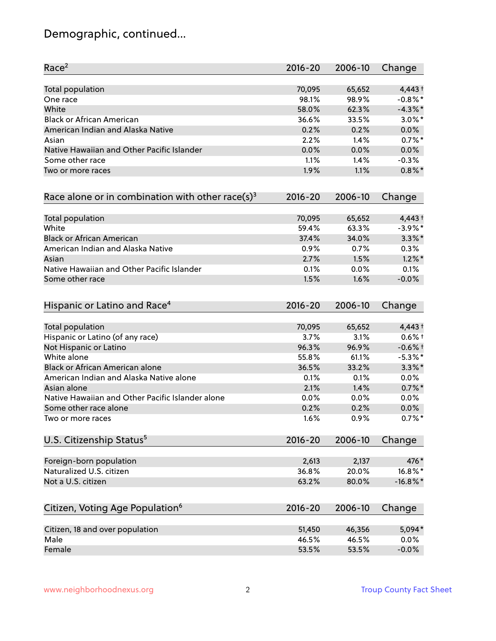# Demographic, continued...

| Race <sup>2</sup>                                   | $2016 - 20$ | 2006-10 | Change      |
|-----------------------------------------------------|-------------|---------|-------------|
| <b>Total population</b>                             | 70,095      | 65,652  | $4,443+$    |
| One race                                            | 98.1%       | 98.9%   | $-0.8\%$ *  |
| White                                               | 58.0%       | 62.3%   | $-4.3\%$ *  |
| <b>Black or African American</b>                    | 36.6%       | 33.5%   | $3.0\%$ *   |
| American Indian and Alaska Native                   | 0.2%        | 0.2%    | 0.0%        |
| Asian                                               | 2.2%        | 1.4%    | $0.7%$ *    |
| Native Hawaiian and Other Pacific Islander          | 0.0%        | 0.0%    | 0.0%        |
| Some other race                                     | 1.1%        | 1.4%    | $-0.3%$     |
| Two or more races                                   | 1.9%        | 1.1%    | $0.8\%$ *   |
| Race alone or in combination with other race(s) $3$ | $2016 - 20$ | 2006-10 | Change      |
| Total population                                    | 70,095      | 65,652  | 4,443+      |
| White                                               | 59.4%       | 63.3%   | $-3.9\%$ *  |
| <b>Black or African American</b>                    | 37.4%       | 34.0%   | $3.3\%$ *   |
| American Indian and Alaska Native                   | 0.9%        | 0.7%    | 0.3%        |
| Asian                                               | 2.7%        | 1.5%    | $1.2\%$ *   |
| Native Hawaiian and Other Pacific Islander          | 0.1%        | 0.0%    | 0.1%        |
| Some other race                                     | 1.5%        | 1.6%    | $-0.0%$     |
| Hispanic or Latino and Race <sup>4</sup>            | $2016 - 20$ | 2006-10 | Change      |
| <b>Total population</b>                             | 70,095      | 65,652  | $4,443+$    |
| Hispanic or Latino (of any race)                    | 3.7%        | 3.1%    | $0.6%$ +    |
| Not Hispanic or Latino                              | 96.3%       | 96.9%   | $-0.6%$ +   |
| White alone                                         | 55.8%       | 61.1%   | $-5.3\%$ *  |
| Black or African American alone                     | 36.5%       | 33.2%   | $3.3\%$ *   |
| American Indian and Alaska Native alone             | 0.1%        | 0.1%    | 0.0%        |
| Asian alone                                         | 2.1%        | 1.4%    | $0.7\%$ *   |
| Native Hawaiian and Other Pacific Islander alone    | 0.0%        | 0.0%    | $0.0\%$     |
| Some other race alone                               | 0.2%        | 0.2%    | 0.0%        |
| Two or more races                                   | 1.6%        | 0.9%    | $0.7%$ *    |
| U.S. Citizenship Status <sup>5</sup>                | $2016 - 20$ | 2006-10 | Change      |
| Foreign-born population                             | 2,613       | 2,137   | 476*        |
| Naturalized U.S. citizen                            | 36.8%       | 20.0%   | $16.8\%$ *  |
| Not a U.S. citizen                                  | 63.2%       | 80.0%   | $-16.8\%$ * |
| Citizen, Voting Age Population <sup>6</sup>         | $2016 - 20$ | 2006-10 | Change      |
|                                                     |             |         |             |
| Citizen, 18 and over population                     | 51,450      | 46,356  | 5,094*      |
| Male                                                | 46.5%       | 46.5%   | 0.0%        |
| Female                                              | 53.5%       | 53.5%   | $-0.0%$     |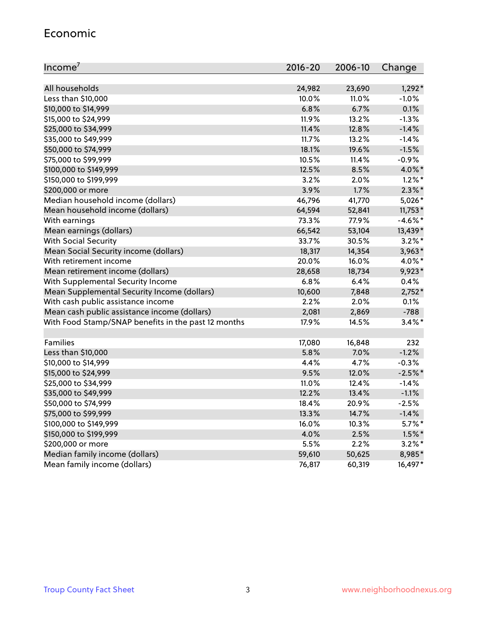#### Economic

| Income <sup>7</sup>                                 | $2016 - 20$ | 2006-10 | Change     |
|-----------------------------------------------------|-------------|---------|------------|
|                                                     |             |         |            |
| All households                                      | 24,982      | 23,690  | $1,292*$   |
| Less than \$10,000                                  | 10.0%       | 11.0%   | $-1.0%$    |
| \$10,000 to \$14,999                                | 6.8%        | 6.7%    | 0.1%       |
| \$15,000 to \$24,999                                | 11.9%       | 13.2%   | $-1.3%$    |
| \$25,000 to \$34,999                                | 11.4%       | 12.8%   | $-1.4%$    |
| \$35,000 to \$49,999                                | 11.7%       | 13.2%   | $-1.4%$    |
| \$50,000 to \$74,999                                | 18.1%       | 19.6%   | $-1.5%$    |
| \$75,000 to \$99,999                                | 10.5%       | 11.4%   | $-0.9%$    |
| \$100,000 to \$149,999                              | 12.5%       | 8.5%    | 4.0%*      |
| \$150,000 to \$199,999                              | 3.2%        | 2.0%    | $1.2\%$ *  |
| \$200,000 or more                                   | 3.9%        | 1.7%    | $2.3\%$ *  |
| Median household income (dollars)                   | 46,796      | 41,770  | 5,026*     |
| Mean household income (dollars)                     | 64,594      | 52,841  | $11,753*$  |
| With earnings                                       | 73.3%       | 77.9%   | $-4.6\%$ * |
| Mean earnings (dollars)                             | 66,542      | 53,104  | 13,439*    |
| <b>With Social Security</b>                         | 33.7%       | 30.5%   | $3.2\%$ *  |
| Mean Social Security income (dollars)               | 18,317      | 14,354  | $3,963*$   |
| With retirement income                              | 20.0%       | 16.0%   | 4.0%*      |
| Mean retirement income (dollars)                    | 28,658      | 18,734  | 9,923*     |
| With Supplemental Security Income                   | $6.8\%$     | 6.4%    | 0.4%       |
| Mean Supplemental Security Income (dollars)         | 10,600      | 7,848   | $2,752*$   |
| With cash public assistance income                  | 2.2%        | $2.0\%$ | 0.1%       |
| Mean cash public assistance income (dollars)        | 2,081       | 2,869   | $-788$     |
| With Food Stamp/SNAP benefits in the past 12 months | 17.9%       | 14.5%   | $3.4\%$ *  |
|                                                     |             |         |            |
| Families                                            | 17,080      | 16,848  | 232        |
| Less than \$10,000                                  | 5.8%        | 7.0%    | $-1.2%$    |
| \$10,000 to \$14,999                                | 4.4%        | 4.7%    | $-0.3%$    |
| \$15,000 to \$24,999                                | 9.5%        | 12.0%   | $-2.5%$ *  |
| \$25,000 to \$34,999                                | 11.0%       | 12.4%   | $-1.4%$    |
| \$35,000 to \$49,999                                | 12.2%       | 13.4%   | $-1.1%$    |
| \$50,000 to \$74,999                                | 18.4%       | 20.9%   | $-2.5%$    |
| \$75,000 to \$99,999                                | 13.3%       | 14.7%   | $-1.4%$    |
| \$100,000 to \$149,999                              | 16.0%       | 10.3%   | $5.7\%$ *  |
| \$150,000 to \$199,999                              | 4.0%        | 2.5%    | $1.5\%$ *  |
| \$200,000 or more                                   | 5.5%        | 2.2%    | $3.2\%$ *  |
| Median family income (dollars)                      | 59,610      | 50,625  | 8,985*     |
| Mean family income (dollars)                        | 76,817      | 60,319  | 16,497*    |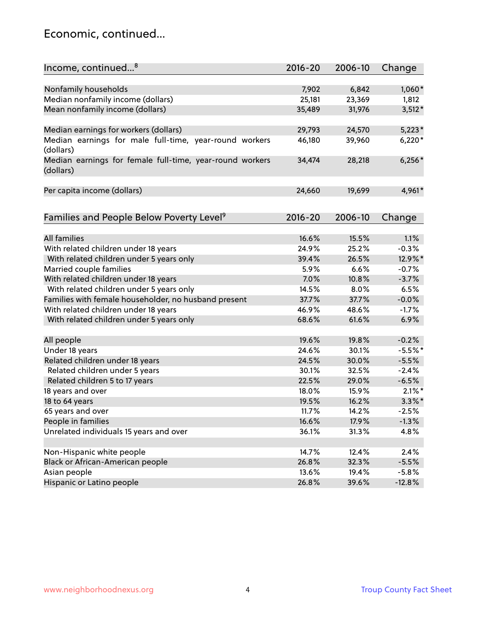### Economic, continued...

| Income, continued <sup>8</sup>                                        | $2016 - 20$ | 2006-10 | Change    |
|-----------------------------------------------------------------------|-------------|---------|-----------|
|                                                                       |             |         |           |
| Nonfamily households                                                  | 7,902       | 6,842   | $1,060*$  |
| Median nonfamily income (dollars)                                     | 25,181      | 23,369  | 1,812     |
| Mean nonfamily income (dollars)                                       | 35,489      | 31,976  | $3,512*$  |
| Median earnings for workers (dollars)                                 | 29,793      | 24,570  | $5,223*$  |
| Median earnings for male full-time, year-round workers                | 46,180      | 39,960  | $6,220*$  |
| (dollars)                                                             |             |         |           |
| Median earnings for female full-time, year-round workers<br>(dollars) | 34,474      | 28,218  | $6,256*$  |
| Per capita income (dollars)                                           | 24,660      | 19,699  | 4,961*    |
|                                                                       |             |         |           |
| Families and People Below Poverty Level <sup>9</sup>                  | $2016 - 20$ | 2006-10 | Change    |
|                                                                       |             |         |           |
| <b>All families</b>                                                   | 16.6%       | 15.5%   | 1.1%      |
| With related children under 18 years                                  | 24.9%       | 25.2%   | $-0.3%$   |
| With related children under 5 years only                              | 39.4%       | 26.5%   | 12.9%*    |
| Married couple families                                               | 5.9%        | 6.6%    | $-0.7%$   |
| With related children under 18 years                                  | 7.0%        | 10.8%   | $-3.7%$   |
| With related children under 5 years only                              | 14.5%       | 8.0%    | 6.5%      |
| Families with female householder, no husband present                  | 37.7%       | 37.7%   | $-0.0%$   |
| With related children under 18 years                                  | 46.9%       | 48.6%   | $-1.7%$   |
| With related children under 5 years only                              | 68.6%       | 61.6%   | 6.9%      |
| All people                                                            | 19.6%       | 19.8%   | $-0.2%$   |
| Under 18 years                                                        | 24.6%       | 30.1%   | $-5.5%$ * |
| Related children under 18 years                                       | 24.5%       | 30.0%   | $-5.5%$   |
|                                                                       | 30.1%       | 32.5%   | $-2.4%$   |
| Related children under 5 years                                        | 22.5%       |         |           |
| Related children 5 to 17 years                                        |             | 29.0%   | $-6.5%$   |
| 18 years and over                                                     | 18.0%       | 15.9%   | $2.1\%$ * |
| 18 to 64 years                                                        | 19.5%       | 16.2%   | $3.3\%$ * |
| 65 years and over                                                     | 11.7%       | 14.2%   | $-2.5%$   |
| People in families                                                    | 16.6%       | 17.9%   | $-1.3%$   |
| Unrelated individuals 15 years and over                               | 36.1%       | 31.3%   | 4.8%      |
|                                                                       |             |         |           |
| Non-Hispanic white people                                             | 14.7%       | 12.4%   | 2.4%      |
| Black or African-American people                                      | 26.8%       | 32.3%   | $-5.5%$   |
| Asian people                                                          | 13.6%       | 19.4%   | $-5.8%$   |
| Hispanic or Latino people                                             | 26.8%       | 39.6%   | $-12.8%$  |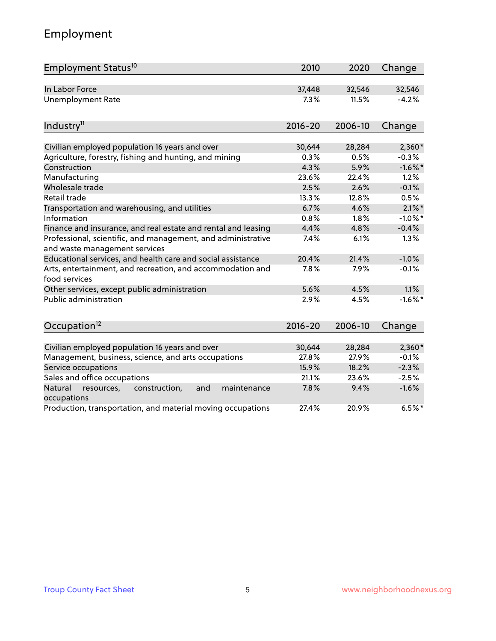# Employment

| Employment Status <sup>10</sup>                                                               | 2010        | 2020    | Change     |
|-----------------------------------------------------------------------------------------------|-------------|---------|------------|
| In Labor Force                                                                                | 37,448      | 32,546  | 32,546     |
| <b>Unemployment Rate</b>                                                                      | 7.3%        | 11.5%   | $-4.2%$    |
| Industry <sup>11</sup>                                                                        | $2016 - 20$ | 2006-10 | Change     |
| Civilian employed population 16 years and over                                                | 30,644      | 28,284  | $2,360*$   |
| Agriculture, forestry, fishing and hunting, and mining                                        | 0.3%        | 0.5%    | $-0.3%$    |
| Construction                                                                                  | 4.3%        | 5.9%    | $-1.6\%$ * |
| Manufacturing                                                                                 | 23.6%       | 22.4%   | 1.2%       |
| Wholesale trade                                                                               | 2.5%        | 2.6%    | $-0.1%$    |
| Retail trade                                                                                  | 13.3%       | 12.8%   | 0.5%       |
| Transportation and warehousing, and utilities                                                 | 6.7%        | 4.6%    | $2.1\%$ *  |
| Information                                                                                   | 0.8%        | 1.8%    | $-1.0\%$ * |
| Finance and insurance, and real estate and rental and leasing                                 | 4.4%        | 4.8%    | $-0.4%$    |
| Professional, scientific, and management, and administrative<br>and waste management services | 7.4%        | 6.1%    | 1.3%       |
| Educational services, and health care and social assistance                                   | 20.4%       | 21.4%   | $-1.0%$    |
| Arts, entertainment, and recreation, and accommodation and<br>food services                   | 7.8%        | 7.9%    | $-0.1%$    |
| Other services, except public administration                                                  | 5.6%        | 4.5%    | 1.1%       |
| <b>Public administration</b>                                                                  | 2.9%        | 4.5%    | $-1.6\%$ * |
| Occupation <sup>12</sup>                                                                      | $2016 - 20$ | 2006-10 | Change     |
|                                                                                               |             |         |            |
| Civilian employed population 16 years and over                                                | 30,644      | 28,284  | $2,360*$   |
| Management, business, science, and arts occupations                                           | 27.8%       | 27.9%   | $-0.1%$    |
| Service occupations                                                                           | 15.9%       | 18.2%   | $-2.3%$    |
| Sales and office occupations                                                                  | 21.1%       | 23.6%   | $-2.5%$    |
| Natural<br>resources,<br>construction,<br>and<br>maintenance<br>occupations                   | 7.8%        | 9.4%    | $-1.6%$    |
| Production, transportation, and material moving occupations                                   | 27.4%       | 20.9%   | $6.5%$ *   |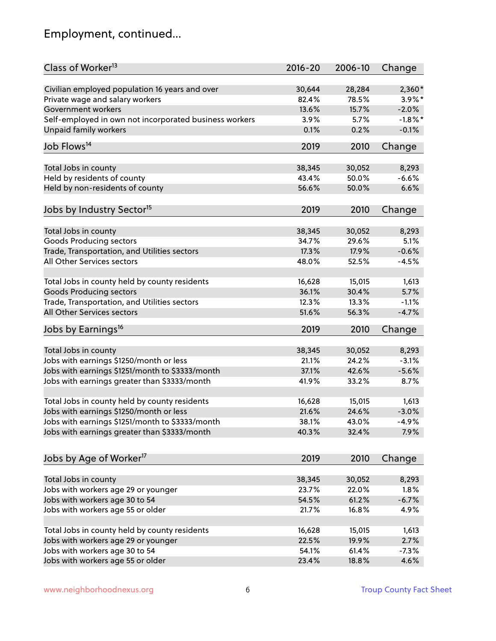# Employment, continued...

| Class of Worker <sup>13</sup>                          | $2016 - 20$ | 2006-10 | Change     |
|--------------------------------------------------------|-------------|---------|------------|
| Civilian employed population 16 years and over         | 30,644      | 28,284  | $2,360*$   |
| Private wage and salary workers                        | 82.4%       | 78.5%   | 3.9%*      |
| Government workers                                     | 13.6%       | 15.7%   | $-2.0%$    |
| Self-employed in own not incorporated business workers | 3.9%        | 5.7%    | $-1.8\%$ * |
| <b>Unpaid family workers</b>                           | 0.1%        | 0.2%    | $-0.1%$    |
| Job Flows <sup>14</sup>                                | 2019        | 2010    | Change     |
|                                                        |             |         |            |
| Total Jobs in county                                   | 38,345      | 30,052  | 8,293      |
| Held by residents of county                            | 43.4%       | 50.0%   | $-6.6%$    |
| Held by non-residents of county                        | 56.6%       | 50.0%   | 6.6%       |
| Jobs by Industry Sector <sup>15</sup>                  | 2019        | 2010    | Change     |
| Total Jobs in county                                   | 38,345      | 30,052  | 8,293      |
| <b>Goods Producing sectors</b>                         | 34.7%       | 29.6%   | 5.1%       |
| Trade, Transportation, and Utilities sectors           | 17.3%       | 17.9%   | $-0.6%$    |
| All Other Services sectors                             | 48.0%       | 52.5%   | $-4.5%$    |
|                                                        |             |         |            |
| Total Jobs in county held by county residents          | 16,628      | 15,015  | 1,613      |
| <b>Goods Producing sectors</b>                         | 36.1%       | 30.4%   | 5.7%       |
| Trade, Transportation, and Utilities sectors           | 12.3%       | 13.3%   | $-1.1%$    |
| All Other Services sectors                             | 51.6%       | 56.3%   | $-4.7%$    |
| Jobs by Earnings <sup>16</sup>                         | 2019        | 2010    | Change     |
|                                                        |             |         |            |
| Total Jobs in county                                   | 38,345      | 30,052  | 8,293      |
| Jobs with earnings \$1250/month or less                | 21.1%       | 24.2%   | $-3.1%$    |
| Jobs with earnings \$1251/month to \$3333/month        | 37.1%       | 42.6%   | $-5.6%$    |
| Jobs with earnings greater than \$3333/month           | 41.9%       | 33.2%   | 8.7%       |
| Total Jobs in county held by county residents          | 16,628      | 15,015  | 1,613      |
| Jobs with earnings \$1250/month or less                | 21.6%       | 24.6%   | $-3.0%$    |
| Jobs with earnings \$1251/month to \$3333/month        | 38.1%       | 43.0%   | $-4.9\%$   |
| Jobs with earnings greater than \$3333/month           | 40.3%       | 32.4%   | 7.9%       |
| Jobs by Age of Worker <sup>17</sup>                    | 2019        | 2010    | Change     |
|                                                        |             |         |            |
| Total Jobs in county                                   | 38,345      | 30,052  | 8,293      |
| Jobs with workers age 29 or younger                    | 23.7%       | 22.0%   | 1.8%       |
| Jobs with workers age 30 to 54                         | 54.5%       | 61.2%   | $-6.7%$    |
| Jobs with workers age 55 or older                      | 21.7%       | 16.8%   | 4.9%       |
|                                                        |             |         |            |
| Total Jobs in county held by county residents          | 16,628      | 15,015  | 1,613      |
| Jobs with workers age 29 or younger                    | 22.5%       | 19.9%   | 2.7%       |
| Jobs with workers age 30 to 54                         | 54.1%       | 61.4%   | $-7.3%$    |
| Jobs with workers age 55 or older                      | 23.4%       | 18.8%   | 4.6%       |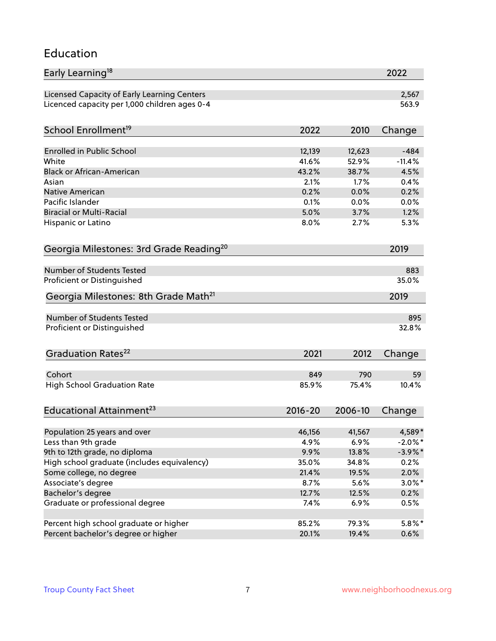#### Education

| Early Learning <sup>18</sup>                        |              |              | 2022         |
|-----------------------------------------------------|--------------|--------------|--------------|
| Licensed Capacity of Early Learning Centers         |              |              | 2,567        |
| Licenced capacity per 1,000 children ages 0-4       |              |              | 563.9        |
| School Enrollment <sup>19</sup>                     | 2022         | 2010         | Change       |
|                                                     |              |              |              |
| <b>Enrolled in Public School</b>                    | 12,139       | 12,623       | $-484$       |
| White                                               | 41.6%        | 52.9%        | $-11.4%$     |
| <b>Black or African-American</b>                    | 43.2%        | 38.7%        | 4.5%         |
| Asian<br>Native American                            | 2.1%         | 1.7%         | 0.4%         |
| Pacific Islander                                    | 0.2%         | 0.0%         | 0.2%         |
| <b>Biracial or Multi-Racial</b>                     | 0.1%<br>5.0% | 0.0%<br>3.7% | 0.0%<br>1.2% |
|                                                     |              |              |              |
| Hispanic or Latino                                  | 8.0%         | 2.7%         | 5.3%         |
| Georgia Milestones: 3rd Grade Reading <sup>20</sup> |              |              | 2019         |
| Number of Students Tested                           |              |              | 883          |
|                                                     |              |              | 35.0%        |
| Proficient or Distinguished                         |              |              |              |
| Georgia Milestones: 8th Grade Math <sup>21</sup>    |              |              | 2019         |
| Number of Students Tested                           |              |              | 895          |
| Proficient or Distinguished                         |              |              | 32.8%        |
| Graduation Rates <sup>22</sup>                      | 2021         | 2012         | Change       |
|                                                     |              |              |              |
| Cohort                                              | 849          | 790          | 59           |
| <b>High School Graduation Rate</b>                  | 85.9%        | 75.4%        | 10.4%        |
| Educational Attainment <sup>23</sup>                | $2016 - 20$  | 2006-10      | Change       |
| Population 25 years and over                        | 46,156       | 41,567       | 4,589*       |
| Less than 9th grade                                 | 4.9%         | 6.9%         | $-2.0\%$ *   |
| 9th to 12th grade, no diploma                       | 9.9%         | 13.8%        | $-3.9\%$ *   |
| High school graduate (includes equivalency)         | 35.0%        | 34.8%        | 0.2%         |
| Some college, no degree                             | 21.4%        | 19.5%        | 2.0%         |
| Associate's degree                                  | 8.7%         | 5.6%         | $3.0\%$ *    |
| Bachelor's degree                                   | 12.7%        | 12.5%        | 0.2%         |
| Graduate or professional degree                     | 7.4%         | 6.9%         | 0.5%         |
|                                                     |              |              |              |
| Percent high school graduate or higher              | 85.2%        | 79.3%        | $5.8\%$ *    |
| Percent bachelor's degree or higher                 | 20.1%        | 19.4%        | 0.6%         |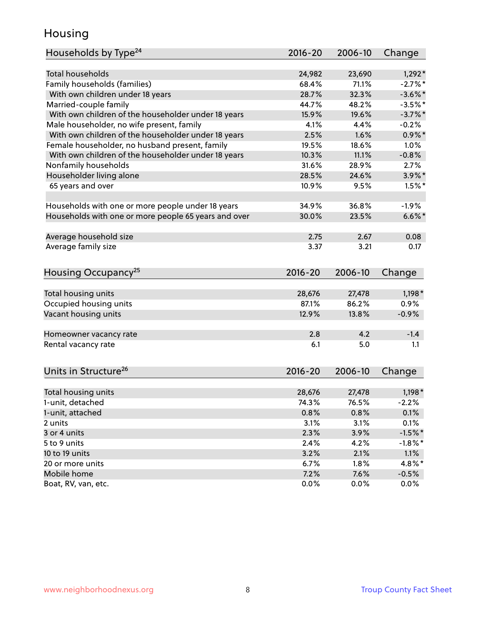### Housing

| Households by Type <sup>24</sup>                     | 2016-20     | 2006-10         | Change     |
|------------------------------------------------------|-------------|-----------------|------------|
|                                                      |             |                 |            |
| <b>Total households</b>                              | 24,982      | 23,690          | $1,292*$   |
| Family households (families)                         | 68.4%       | 71.1%           | $-2.7%$ *  |
| With own children under 18 years                     | 28.7%       | 32.3%           | $-3.6\%$ * |
| Married-couple family                                | 44.7%       | 48.2%           | $-3.5%$ *  |
| With own children of the householder under 18 years  | 15.9%       | 19.6%           | $-3.7\%$ * |
| Male householder, no wife present, family            | 4.1%        | 4.4%            | $-0.2%$    |
| With own children of the householder under 18 years  | 2.5%        | 1.6%            | $0.9\%$ *  |
| Female householder, no husband present, family       | 19.5%       | 18.6%           | 1.0%       |
| With own children of the householder under 18 years  | 10.3%       | 11.1%           | $-0.8%$    |
| Nonfamily households                                 | 31.6%       | 28.9%           | 2.7%       |
| Householder living alone                             | 28.5%       | 24.6%           | $3.9\%$ *  |
| 65 years and over                                    | 10.9%       | 9.5%            | $1.5%$ *   |
|                                                      |             |                 |            |
| Households with one or more people under 18 years    | 34.9%       | 36.8%           | $-1.9%$    |
| Households with one or more people 65 years and over | 30.0%       | 23.5%           | $6.6\%$    |
| Average household size                               | 2.75        | 2.67            | 0.08       |
| Average family size                                  | 3.37        | 3.21            | 0.17       |
|                                                      |             |                 |            |
| Housing Occupancy <sup>25</sup>                      | $2016 - 20$ | 2006-10         | Change     |
| Total housing units                                  | 28,676      | 27,478          | $1,198*$   |
| Occupied housing units                               | 87.1%       | 86.2%           | 0.9%       |
| Vacant housing units                                 | 12.9%       | 13.8%           | $-0.9%$    |
|                                                      |             |                 |            |
| Homeowner vacancy rate                               | 2.8         | 4.2             | $-1.4$     |
| Rental vacancy rate                                  | 6.1         | 5.0             | 1.1        |
| Units in Structure <sup>26</sup>                     | $2016 - 20$ | 2006-10         | Change     |
|                                                      |             |                 |            |
| Total housing units                                  | 28,676      | 27,478<br>76.5% | $1,198*$   |
| 1-unit, detached                                     | 74.3%       |                 | $-2.2%$    |
| 1-unit, attached                                     | 0.8%        | 0.8%            | 0.1%       |
| 2 units                                              | 3.1%        | 3.1%            | 0.1%       |
| 3 or 4 units                                         | 2.3%        | 3.9%            | $-1.5%$ *  |
| 5 to 9 units                                         | 2.4%        | 4.2%            | $-1.8\%$ * |
| 10 to 19 units                                       | 3.2%        | 2.1%            | 1.1%       |
| 20 or more units                                     | 6.7%        | 1.8%            | 4.8%*      |
| Mobile home                                          | 7.2%        | 7.6%            | $-0.5%$    |
| Boat, RV, van, etc.                                  | 0.0%        | $0.0\%$         | 0.0%       |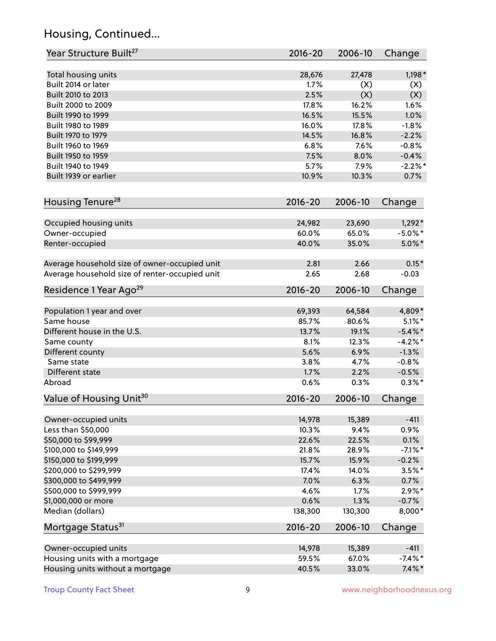# Housing, Continued...

| Year Structure Built <sup>27</sup>             | 2016-20     | 2006-10 | Change     |
|------------------------------------------------|-------------|---------|------------|
| Total housing units                            | 28,676      | 27,478  | $1,198*$   |
| Built 2014 or later                            | 1.7%        | (X)     | (X)        |
| Built 2010 to 2013                             | 2.5%        | (X)     | (X)        |
| Built 2000 to 2009                             | 17.8%       | 16.2%   | 1.6%       |
| Built 1990 to 1999                             | 16.5%       | 15.5%   | 1.0%       |
| Built 1980 to 1989                             | 16.0%       | 17.8%   | $-1.8%$    |
| Built 1970 to 1979                             | 14.5%       | 16.8%   | $-2.2%$    |
| Built 1960 to 1969                             | 6.8%        | 7.6%    | $-0.8%$    |
| Built 1950 to 1959                             | 7.5%        | 8.0%    | $-0.4%$    |
| Built 1940 to 1949                             | 5.7%        | 7.9%    | $-2.2\%$ * |
| Built 1939 or earlier                          | 10.9%       | 10.3%   | 0.7%       |
| Housing Tenure <sup>28</sup>                   | $2016 - 20$ | 2006-10 | Change     |
| Occupied housing units                         | 24,982      | 23,690  | $1,292*$   |
| Owner-occupied                                 | 60.0%       | 65.0%   | $-5.0\%$ * |
| Renter-occupied                                | 40.0%       | 35.0%   | $5.0\%$ *  |
|                                                |             |         |            |
| Average household size of owner-occupied unit  | 2.81        | 2.66    | $0.15*$    |
| Average household size of renter-occupied unit | 2.65        | 2.68    | $-0.03$    |
| Residence 1 Year Ago <sup>29</sup>             | 2016-20     | 2006-10 | Change     |
| Population 1 year and over                     | 69,393      | 64,584  | 4,809*     |
| Same house                                     | 85.7%       | 80.6%   | $5.1\%$ *  |
| Different house in the U.S.                    | 13.7%       | 19.1%   | $-5.4\%$ * |
| Same county                                    | 8.1%        | 12.3%   | $-4.2%$ *  |
| Different county                               | 5.6%        | 6.9%    | $-1.3%$    |
| Same state                                     | 3.8%        | 4.7%    | $-0.8%$    |
| Different state                                | 1.7%        | 2.2%    | $-0.5%$    |
| Abroad                                         | 0.6%        | 0.3%    | $0.3\%$ *  |
| Value of Housing Unit <sup>30</sup>            | $2016 - 20$ | 2006-10 | Change     |
|                                                |             |         |            |
| Owner-occupied units                           | 14,978      | 15,389  | $-411$     |
| Less than \$50,000                             | 10.3%       | 9.4%    | 0.9%       |
| \$50,000 to \$99,999                           | 22.6%       | 22.5%   | 0.1%       |
| \$100,000 to \$149,999                         | 21.8%       | 28.9%   | $-7.1\%$ * |
| \$150,000 to \$199,999                         | 15.7%       | 15.9%   | $-0.2%$    |
| \$200,000 to \$299,999                         | 17.4%       | 14.0%   | $3.5\%$ *  |
| \$300,000 to \$499,999                         | 7.0%        | 6.3%    | 0.7%       |
| \$500,000 to \$999,999                         | 4.6%        | 1.7%    | $2.9\%*$   |
| \$1,000,000 or more                            | 0.6%        | 1.3%    | $-0.7%$    |
| Median (dollars)                               | 138,300     | 130,300 | 8,000*     |
| Mortgage Status <sup>31</sup>                  | $2016 - 20$ | 2006-10 | Change     |
| Owner-occupied units                           | 14,978      | 15,389  | $-411$     |
| Housing units with a mortgage                  | 59.5%       | 67.0%   | $-7.4\%$ * |
| Housing units without a mortgage               | 40.5%       | 33.0%   | $7.4\%$ *  |
|                                                |             |         |            |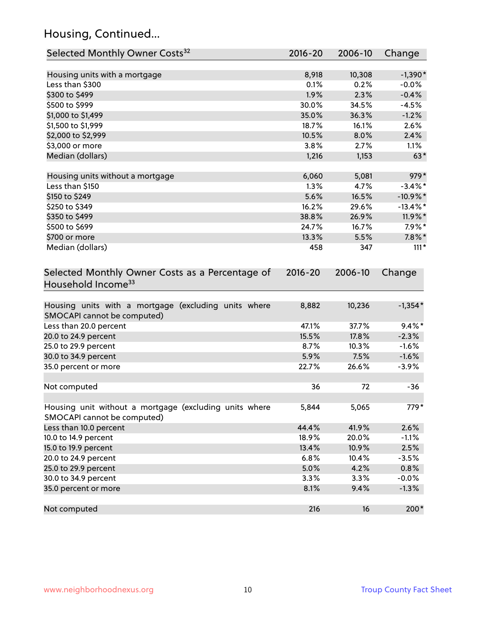# Housing, Continued...

| Selected Monthly Owner Costs <sup>32</sup>                                            | 2016-20     | 2006-10 | Change      |
|---------------------------------------------------------------------------------------|-------------|---------|-------------|
| Housing units with a mortgage                                                         | 8,918       | 10,308  | $-1,390*$   |
| Less than \$300                                                                       | 0.1%        | 0.2%    | $-0.0%$     |
| \$300 to \$499                                                                        | 1.9%        | 2.3%    | $-0.4%$     |
| \$500 to \$999                                                                        | 30.0%       | 34.5%   | $-4.5%$     |
| \$1,000 to \$1,499                                                                    | 35.0%       | 36.3%   | $-1.2%$     |
| \$1,500 to \$1,999                                                                    | 18.7%       | 16.1%   | 2.6%        |
| \$2,000 to \$2,999                                                                    | 10.5%       | 8.0%    | 2.4%        |
| \$3,000 or more                                                                       | 3.8%        | 2.7%    | 1.1%        |
| Median (dollars)                                                                      | 1,216       | 1,153   | $63*$       |
| Housing units without a mortgage                                                      | 6,060       | 5,081   | 979*        |
| Less than \$150                                                                       | 1.3%        | 4.7%    | $-3.4\%$ *  |
| \$150 to \$249                                                                        | 5.6%        | 16.5%   | $-10.9\%$ * |
| \$250 to \$349                                                                        | 16.2%       | 29.6%   | $-13.4\%$ * |
| \$350 to \$499                                                                        | 38.8%       | 26.9%   | 11.9%*      |
| \$500 to \$699                                                                        | 24.7%       | 16.7%   | $7.9\%*$    |
| \$700 or more                                                                         | 13.3%       | 5.5%    | $7.8\%$ *   |
| Median (dollars)                                                                      | 458         | 347     | $111*$      |
| Selected Monthly Owner Costs as a Percentage of<br>Household Income <sup>33</sup>     | $2016 - 20$ | 2006-10 | Change      |
| Housing units with a mortgage (excluding units where<br>SMOCAPI cannot be computed)   | 8,882       | 10,236  | $-1,354*$   |
| Less than 20.0 percent                                                                | 47.1%       | 37.7%   | $9.4\%$ *   |
| 20.0 to 24.9 percent                                                                  | 15.5%       | 17.8%   | $-2.3%$     |
| 25.0 to 29.9 percent                                                                  | 8.7%        | 10.3%   | $-1.6%$     |
| 30.0 to 34.9 percent                                                                  | 5.9%        | 7.5%    | $-1.6%$     |
| 35.0 percent or more                                                                  | 22.7%       | 26.6%   | $-3.9%$     |
| Not computed                                                                          | 36          | 72      | $-36$       |
| Housing unit without a mortgage (excluding units where<br>SMOCAPI cannot be computed) | 5,844       | 5,065   | 779*        |
| Less than 10.0 percent                                                                | 44.4%       | 41.9%   | 2.6%        |
| 10.0 to 14.9 percent                                                                  | 18.9%       | 20.0%   | $-1.1%$     |
| 15.0 to 19.9 percent                                                                  | 13.4%       | 10.9%   | 2.5%        |
| 20.0 to 24.9 percent                                                                  | 6.8%        | 10.4%   | $-3.5%$     |
| 25.0 to 29.9 percent                                                                  | 5.0%        | 4.2%    | 0.8%        |
| 30.0 to 34.9 percent                                                                  | 3.3%        | 3.3%    | $-0.0%$     |
| 35.0 percent or more                                                                  | 8.1%        | 9.4%    | $-1.3%$     |
| Not computed                                                                          | 216         | 16      | 200*        |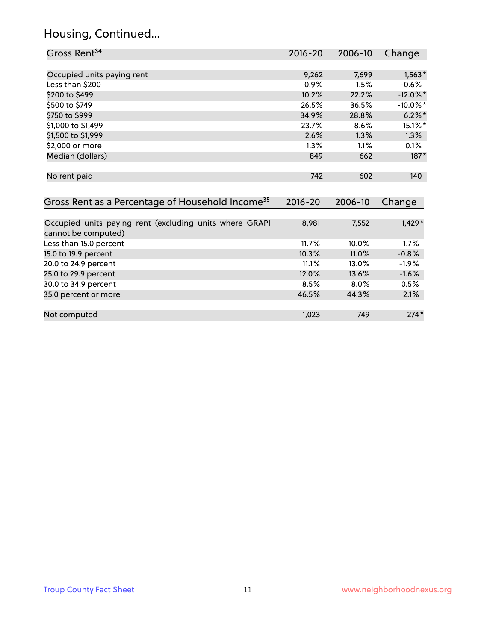# Housing, Continued...

| Gross Rent <sup>34</sup>                                                       | 2016-20            | 2006-10        | Change        |
|--------------------------------------------------------------------------------|--------------------|----------------|---------------|
|                                                                                |                    |                |               |
| Occupied units paying rent                                                     | 9,262              | 7,699          | $1,563*$      |
| Less than \$200                                                                | $0.9\%$            | 1.5%           | $-0.6%$       |
| \$200 to \$499                                                                 | 10.2%              | 22.2%          | $-12.0\%$ *   |
| \$500 to \$749                                                                 | 26.5%              | 36.5%          | $-10.0\%$ *   |
| \$750 to \$999                                                                 | 34.9%              | 28.8%          | $6.2\%$ *     |
| \$1,000 to \$1,499                                                             | 23.7%              | 8.6%           | 15.1%*        |
| \$1,500 to \$1,999                                                             | 2.6%               | 1.3%           | 1.3%          |
| \$2,000 or more                                                                | 1.3%               | 1.1%           | 0.1%          |
| Median (dollars)                                                               | 849                | 662            | $187*$        |
| No rent paid<br>Gross Rent as a Percentage of Household Income <sup>35</sup>   | 742<br>$2016 - 20$ | 602<br>2006-10 | 140<br>Change |
|                                                                                |                    |                |               |
| Occupied units paying rent (excluding units where GRAPI<br>cannot be computed) | 8,981              | 7,552          | $1,429*$      |
| Less than 15.0 percent                                                         | 11.7%              | 10.0%          | 1.7%          |
| 15.0 to 19.9 percent                                                           | 10.3%              | 11.0%          | $-0.8%$       |
| 20.0 to 24.9 percent                                                           | 11.1%              | 13.0%          | $-1.9%$       |
| 25.0 to 29.9 percent                                                           | 12.0%              | 13.6%          | $-1.6%$       |
| 30.0 to 34.9 percent                                                           | 8.5%               | 8.0%           | 0.5%          |
| 35.0 percent or more                                                           | 46.5%              | 44.3%          | 2.1%          |
| Not computed                                                                   | 1,023              | 749            | $274*$        |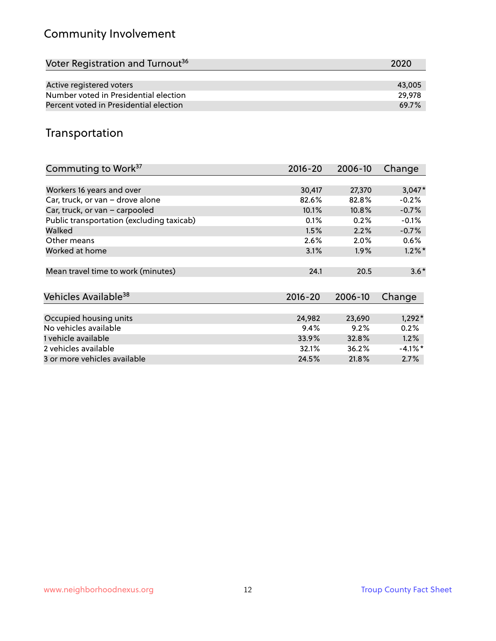# Community Involvement

| Voter Registration and Turnout <sup>36</sup> | 2020   |
|----------------------------------------------|--------|
|                                              |        |
| Active registered voters                     | 43,005 |
| Number voted in Presidential election        | 29.978 |
| Percent voted in Presidential election       | 69.7%  |

## Transportation

| Commuting to Work <sup>37</sup>           | 2016-20     | 2006-10 | Change     |
|-------------------------------------------|-------------|---------|------------|
|                                           |             |         |            |
| Workers 16 years and over                 | 30,417      | 27,370  | $3,047*$   |
| Car, truck, or van - drove alone          | 82.6%       | 82.8%   | $-0.2%$    |
| Car, truck, or van - carpooled            | 10.1%       | 10.8%   | $-0.7%$    |
| Public transportation (excluding taxicab) | 0.1%        | 0.2%    | $-0.1%$    |
| Walked                                    | 1.5%        | 2.2%    | $-0.7%$    |
| Other means                               | 2.6%        | 2.0%    | $0.6\%$    |
| Worked at home                            | 3.1%        | $1.9\%$ | $1.2\%$ *  |
|                                           |             |         |            |
| Mean travel time to work (minutes)        | 24.1        | 20.5    | $3.6*$     |
|                                           |             |         |            |
| Vehicles Available <sup>38</sup>          | $2016 - 20$ | 2006-10 | Change     |
|                                           |             |         |            |
| Occupied housing units                    | 24,982      | 23,690  | $1,292*$   |
| No vehicles available                     | 9.4%        | 9.2%    | 0.2%       |
| 1 vehicle available                       | 33.9%       | 32.8%   | 1.2%       |
| 2 vehicles available                      | 32.1%       | 36.2%   | $-4.1\%$ * |
| 3 or more vehicles available              | 24.5%       | 21.8%   | 2.7%       |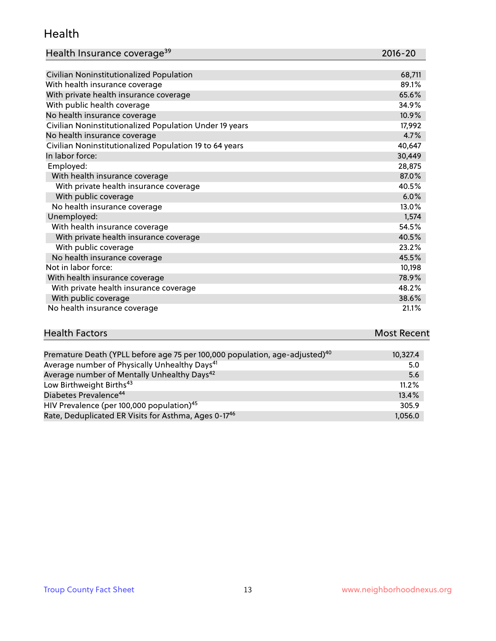#### Health

| Health Insurance coverage <sup>39</sup> | 2016-20 |
|-----------------------------------------|---------|
|-----------------------------------------|---------|

| Civilian Noninstitutionalized Population                | 68,711 |
|---------------------------------------------------------|--------|
| With health insurance coverage                          | 89.1%  |
| With private health insurance coverage                  | 65.6%  |
| With public health coverage                             | 34.9%  |
| No health insurance coverage                            | 10.9%  |
| Civilian Noninstitutionalized Population Under 19 years | 17,992 |
| No health insurance coverage                            | 4.7%   |
| Civilian Noninstitutionalized Population 19 to 64 years | 40,647 |
| In labor force:                                         | 30,449 |
| Employed:                                               | 28,875 |
| With health insurance coverage                          | 87.0%  |
| With private health insurance coverage                  | 40.5%  |
| With public coverage                                    | 6.0%   |
| No health insurance coverage                            | 13.0%  |
| Unemployed:                                             | 1,574  |
| With health insurance coverage                          | 54.5%  |
| With private health insurance coverage                  | 40.5%  |
| With public coverage                                    | 23.2%  |
| No health insurance coverage                            | 45.5%  |
| Not in labor force:                                     | 10,198 |
| With health insurance coverage                          | 78.9%  |
| With private health insurance coverage                  | 48.2%  |
| With public coverage                                    | 38.6%  |
| No health insurance coverage                            | 21.1%  |

# **Health Factors Most Recent** And The Control of the Control of The Control of The Control of The Control of The Control of The Control of The Control of The Control of The Control of The Control of The Control of The Contr

| Premature Death (YPLL before age 75 per 100,000 population, age-adjusted) <sup>40</sup> | 10,327.4 |
|-----------------------------------------------------------------------------------------|----------|
| Average number of Physically Unhealthy Days <sup>41</sup>                               | 5.0      |
| Average number of Mentally Unhealthy Days <sup>42</sup>                                 | 5.6      |
| Low Birthweight Births <sup>43</sup>                                                    | 11.2%    |
| Diabetes Prevalence <sup>44</sup>                                                       | 13.4%    |
| HIV Prevalence (per 100,000 population) <sup>45</sup>                                   | 305.9    |
| Rate, Deduplicated ER Visits for Asthma, Ages 0-1746                                    | 1,056.0  |